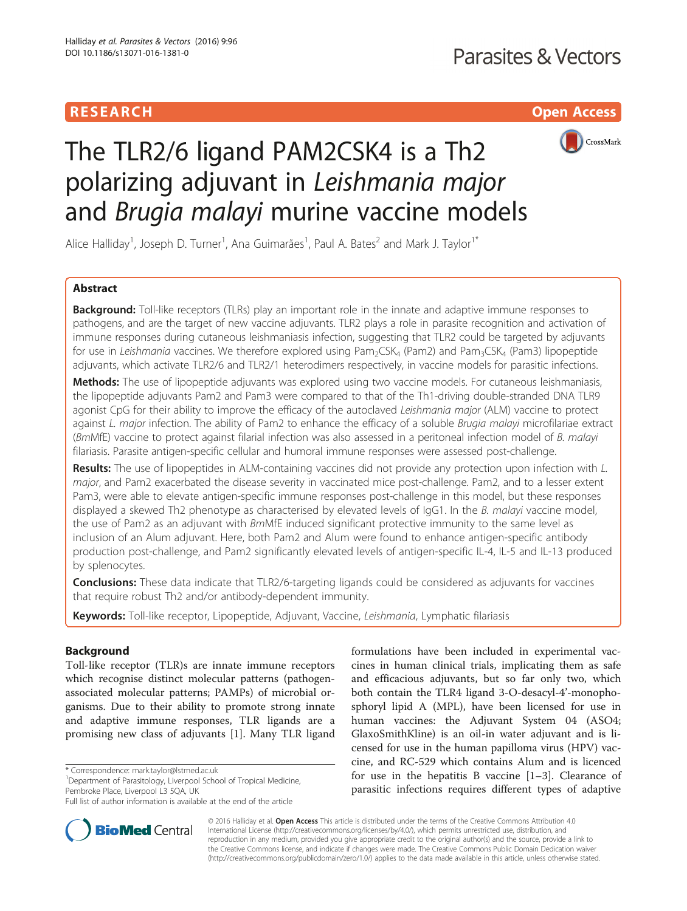## **RESEARCH CHILD CONTROL** CONTROL CONTROL CONTROL CONTROL CONTROL CONTROL CONTROL CONTROL CONTROL CONTROL CONTROL



# The TLR2/6 ligand PAM2CSK4 is a Th2 polarizing adjuvant in Leishmania major and Brugia malayi murine vaccine models

Alice Halliday<sup>1</sup>, Joseph D. Turner<sup>1</sup>, Ana Guimarães<sup>1</sup>, Paul A. Bates<sup>2</sup> and Mark J. Taylor<sup>1\*</sup>

## Abstract

**Background:** Toll-like receptors (TLRs) play an important role in the innate and adaptive immune responses to pathogens, and are the target of new vaccine adjuvants. TLR2 plays a role in parasite recognition and activation of immune responses during cutaneous leishmaniasis infection, suggesting that TLR2 could be targeted by adjuvants for use in Leishmania vaccines. We therefore explored using Pam<sub>2</sub>CSK<sub>4</sub> (Pam2) and Pam<sub>3</sub>CSK<sub>4</sub> (Pam3) lipopeptide adjuvants, which activate TLR2/6 and TLR2/1 heterodimers respectively, in vaccine models for parasitic infections.

Methods: The use of lipopeptide adjuvants was explored using two vaccine models. For cutaneous leishmaniasis, the lipopeptide adjuvants Pam2 and Pam3 were compared to that of the Th1-driving double-stranded DNA TLR9 agonist CpG for their ability to improve the efficacy of the autoclaved Leishmania major (ALM) vaccine to protect against L. major infection. The ability of Pam2 to enhance the efficacy of a soluble Brugia malayi microfilariae extract (BmMfE) vaccine to protect against filarial infection was also assessed in a peritoneal infection model of B. malayi filariasis. Parasite antigen-specific cellular and humoral immune responses were assessed post-challenge.

Results: The use of lipopeptides in ALM-containing vaccines did not provide any protection upon infection with L. major, and Pam2 exacerbated the disease severity in vaccinated mice post-challenge. Pam2, and to a lesser extent Pam3, were able to elevate antigen-specific immune responses post-challenge in this model, but these responses displayed a skewed Th2 phenotype as characterised by elevated levels of IgG1. In the B. malayi vaccine model, the use of Pam2 as an adjuvant with BmMfE induced significant protective immunity to the same level as inclusion of an Alum adjuvant. Here, both Pam2 and Alum were found to enhance antigen-specific antibody production post-challenge, and Pam2 significantly elevated levels of antigen-specific IL-4, IL-5 and IL-13 produced by splenocytes.

**Conclusions:** These data indicate that TLR2/6-targeting ligands could be considered as adjuvants for vaccines that require robust Th2 and/or antibody-dependent immunity.

Keywords: Toll-like receptor, Lipopeptide, Adjuvant, Vaccine, Leishmania, Lymphatic filariasis

## Background

Toll-like receptor (TLR)s are innate immune receptors which recognise distinct molecular patterns (pathogenassociated molecular patterns; PAMPs) of microbial organisms. Due to their ability to promote strong innate and adaptive immune responses, TLR ligands are a promising new class of adjuvants [[1](#page-7-0)]. Many TLR ligand

\* Correspondence: [mark.taylor@lstmed.ac.uk](mailto:mark.taylor@lstmed.ac.uk) <sup>1</sup>

<sup>1</sup>Department of Parasitology, Liverpool School of Tropical Medicine, Pembroke Place, Liverpool L3 5QA, UK

formulations have been included in experimental vaccines in human clinical trials, implicating them as safe and efficacious adjuvants, but so far only two, which both contain the TLR4 ligand 3-O-desacyl-4'-monophosphoryl lipid A (MPL), have been licensed for use in human vaccines: the Adjuvant System 04 (ASO4; GlaxoSmithKline) is an oil-in water adjuvant and is licensed for use in the human papilloma virus (HPV) vaccine, and RC-529 which contains Alum and is licenced for use in the hepatitis B vaccine  $[1-3]$  $[1-3]$  $[1-3]$ . Clearance of parasitic infections requires different types of adaptive



© 2016 Halliday et al. Open Access This article is distributed under the terms of the Creative Commons Attribution 4.0 International License [\(http://creativecommons.org/licenses/by/4.0/](http://creativecommons.org/licenses/by/4.0/)), which permits unrestricted use, distribution, and reproduction in any medium, provided you give appropriate credit to the original author(s) and the source, provide a link to the Creative Commons license, and indicate if changes were made. The Creative Commons Public Domain Dedication waiver [\(http://creativecommons.org/publicdomain/zero/1.0/](http://creativecommons.org/publicdomain/zero/1.0/)) applies to the data made available in this article, unless otherwise stated.

Full list of author information is available at the end of the article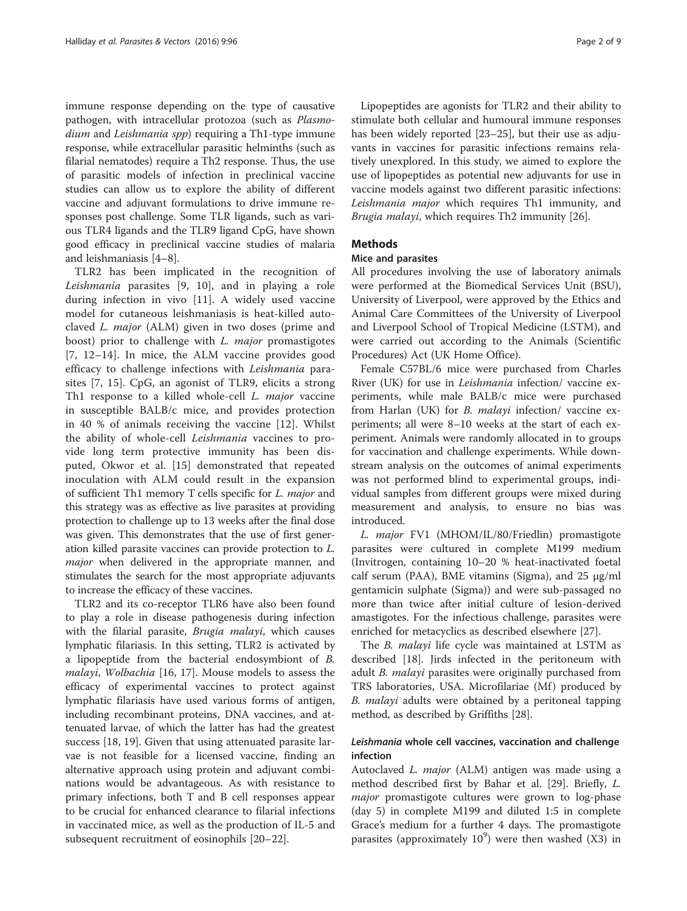immune response depending on the type of causative pathogen, with intracellular protozoa (such as Plasmodium and Leishmania spp) requiring a Th1-type immune response, while extracellular parasitic helminths (such as filarial nematodes) require a Th2 response. Thus, the use of parasitic models of infection in preclinical vaccine studies can allow us to explore the ability of different vaccine and adjuvant formulations to drive immune responses post challenge. Some TLR ligands, such as various TLR4 ligands and the TLR9 ligand CpG, have shown good efficacy in preclinical vaccine studies of malaria and leishmaniasis [[4](#page-7-0)–[8](#page-7-0)].

TLR2 has been implicated in the recognition of Leishmania parasites [[9, 10](#page-7-0)], and in playing a role during infection in vivo [[11\]](#page-7-0). A widely used vaccine model for cutaneous leishmaniasis is heat-killed autoclaved L. major (ALM) given in two doses (prime and boost) prior to challenge with L. major promastigotes [[7, 12](#page-7-0)–[14](#page-7-0)]. In mice, the ALM vaccine provides good efficacy to challenge infections with Leishmania parasites [[7](#page-7-0), [15](#page-7-0)]. CpG, an agonist of TLR9, elicits a strong Th1 response to a killed whole-cell *L. major* vaccine in susceptible BALB/c mice, and provides protection in 40 % of animals receiving the vaccine [[12\]](#page-7-0). Whilst the ability of whole-cell Leishmania vaccines to provide long term protective immunity has been disputed, Okwor et al. [[15\]](#page-7-0) demonstrated that repeated inoculation with ALM could result in the expansion of sufficient Th1 memory T cells specific for L. major and this strategy was as effective as live parasites at providing protection to challenge up to 13 weeks after the final dose was given. This demonstrates that the use of first generation killed parasite vaccines can provide protection to L. major when delivered in the appropriate manner, and stimulates the search for the most appropriate adjuvants to increase the efficacy of these vaccines.

TLR2 and its co-receptor TLR6 have also been found to play a role in disease pathogenesis during infection with the filarial parasite, *Brugia malayi*, which causes lymphatic filariasis. In this setting, TLR2 is activated by a lipopeptide from the bacterial endosymbiont of B. malayi, Wolbachia [\[16, 17](#page-7-0)]. Mouse models to assess the efficacy of experimental vaccines to protect against lymphatic filariasis have used various forms of antigen, including recombinant proteins, DNA vaccines, and attenuated larvae, of which the latter has had the greatest success [[18](#page-7-0), [19](#page-7-0)]. Given that using attenuated parasite larvae is not feasible for a licensed vaccine, finding an alternative approach using protein and adjuvant combinations would be advantageous. As with resistance to primary infections, both T and B cell responses appear to be crucial for enhanced clearance to filarial infections in vaccinated mice, as well as the production of IL-5 and subsequent recruitment of eosinophils [[20](#page-7-0)–[22](#page-7-0)].

Lipopeptides are agonists for TLR2 and their ability to stimulate both cellular and humoural immune responses has been widely reported [\[23](#page-7-0)–[25\]](#page-7-0), but their use as adjuvants in vaccines for parasitic infections remains relatively unexplored. In this study, we aimed to explore the use of lipopeptides as potential new adjuvants for use in vaccine models against two different parasitic infections: Leishmania major which requires Th1 immunity, and Brugia malayi, which requires Th2 immunity [[26\]](#page-8-0).

## **Methods**

## Mice and parasites

All procedures involving the use of laboratory animals were performed at the Biomedical Services Unit (BSU), University of Liverpool, were approved by the Ethics and Animal Care Committees of the University of Liverpool and Liverpool School of Tropical Medicine (LSTM), and were carried out according to the Animals (Scientific Procedures) Act (UK Home Office).

Female C57BL/6 mice were purchased from Charles River (UK) for use in Leishmania infection/ vaccine experiments, while male BALB/c mice were purchased from Harlan (UK) for *B. malayi* infection/ vaccine experiments; all were 8–10 weeks at the start of each experiment. Animals were randomly allocated in to groups for vaccination and challenge experiments. While downstream analysis on the outcomes of animal experiments was not performed blind to experimental groups, individual samples from different groups were mixed during measurement and analysis, to ensure no bias was introduced.

L. major FV1 (MHOM/IL/80/Friedlin) promastigote parasites were cultured in complete M199 medium (Invitrogen, containing 10–20 % heat-inactivated foetal calf serum (PAA), BME vitamins (Sigma), and 25 μg/ml gentamicin sulphate (Sigma)) and were sub-passaged no more than twice after initial culture of lesion-derived amastigotes. For the infectious challenge, parasites were enriched for metacyclics as described elsewhere [\[27\]](#page-8-0).

The B. malayi life cycle was maintained at LSTM as described [\[18](#page-7-0)]. Jirds infected in the peritoneum with adult *B. malayi* parasites were originally purchased from TRS laboratories, USA. Microfilariae (Mf) produced by B. *malayi* adults were obtained by a peritoneal tapping method, as described by Griffiths [[28\]](#page-8-0).

## Leishmania whole cell vaccines, vaccination and challenge infection

Autoclaved *L. major* (ALM) antigen was made using a method described first by Bahar et al. [[29\]](#page-8-0). Briefly, L. *major* promastigote cultures were grown to log-phase (day 5) in complete M199 and diluted 1:5 in complete Grace's medium for a further 4 days. The promastigote parasites (approximately  $10^9$ ) were then washed (X3) in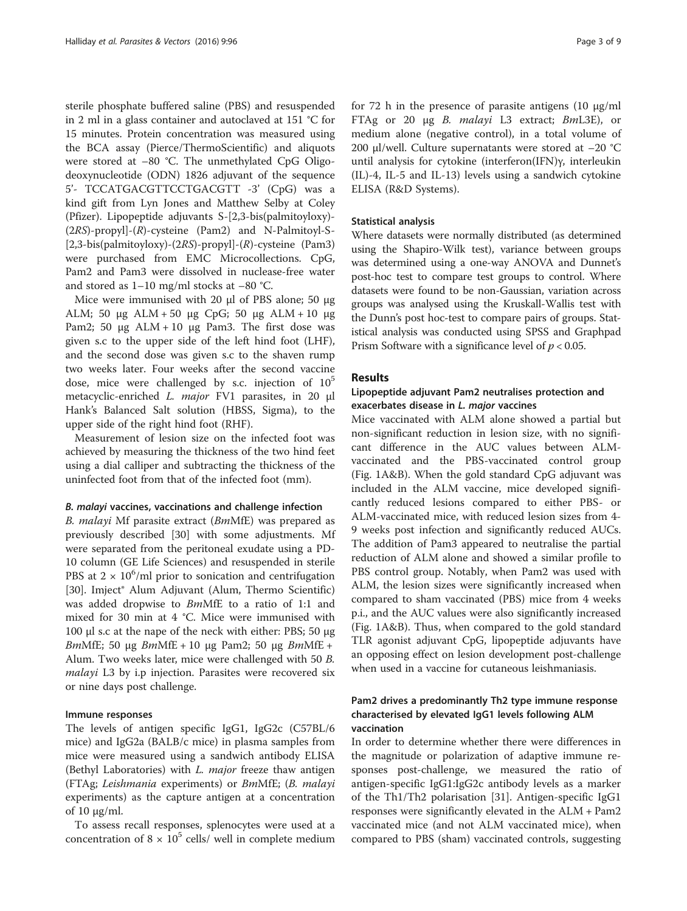sterile phosphate buffered saline (PBS) and resuspended in 2 ml in a glass container and autoclaved at 151 °C for 15 minutes. Protein concentration was measured using the BCA assay (Pierce/ThermoScientific) and aliquots were stored at –80 °C. The unmethylated CpG Oligodeoxynucleotide (ODN) 1826 adjuvant of the sequence 5'- TCCATGACGTTCCTGACGTT -3' (CpG) was a kind gift from Lyn Jones and Matthew Selby at Coley (Pfizer). Lipopeptide adjuvants S-[2,3-bis(palmitoyloxy)- (2RS)-propyl]-(R)-cysteine (Pam2) and N-Palmitoyl-S- [2,3-bis(palmitoyloxy)-(2RS)-propyl]-(R)-cysteine (Pam3) were purchased from EMC Microcollections. CpG, Pam2 and Pam3 were dissolved in nuclease-free water and stored as 1–10 mg/ml stocks at –80 °C.

Mice were immunised with 20 μl of PBS alone; 50 μg ALM; 50 μg ALM + 50 μg CpG; 50 μg ALM + 10 μg Pam2; 50 μg ALM + 10 μg Pam3. The first dose was given s.c to the upper side of the left hind foot (LHF), and the second dose was given s.c to the shaven rump two weeks later. Four weeks after the second vaccine dose, mice were challenged by s.c. injection of  $10^5$ metacyclic-enriched L. major FV1 parasites, in 20 μl Hank's Balanced Salt solution (HBSS, Sigma), to the upper side of the right hind foot (RHF).

Measurement of lesion size on the infected foot was achieved by measuring the thickness of the two hind feet using a dial calliper and subtracting the thickness of the uninfected foot from that of the infected foot (mm).

#### B. malayi vaccines, vaccinations and challenge infection

B. malayi Mf parasite extract (BmMfE) was prepared as previously described [[30\]](#page-8-0) with some adjustments. Mf were separated from the peritoneal exudate using a PD-10 column (GE Life Sciences) and resuspended in sterile PBS at  $2 \times 10^6$ /ml prior to sonication and centrifugation [[30\]](#page-8-0). Imject® Alum Adjuvant (Alum, Thermo Scientific) was added dropwise to BmMfE to a ratio of 1:1 and mixed for 30 min at 4 °C. Mice were immunised with 100 μl s.c at the nape of the neck with either: PBS; 50 μg BmMfE; 50 μg BmMfE + 10 μg Pam2; 50 μg BmMfE + Alum. Two weeks later, mice were challenged with 50 B. malayi L3 by i.p injection. Parasites were recovered six or nine days post challenge.

## Immune responses

The levels of antigen specific IgG1, IgG2c (C57BL/6 mice) and IgG2a (BALB/c mice) in plasma samples from mice were measured using a sandwich antibody ELISA (Bethyl Laboratories) with *L. major* freeze thaw antigen (FTAg; Leishmania experiments) or BmMfE; (B. malayi experiments) as the capture antigen at a concentration of 10 μg/ml.

To assess recall responses, splenocytes were used at a concentration of  $8 \times 10^5$  cells/ well in complete medium for 72 h in the presence of parasite antigens (10 μg/ml FTAg or 20 μg B. malayi L3 extract; BmL3E), or medium alone (negative control), in a total volume of 200 μl/well. Culture supernatants were stored at  $-20$  °C until analysis for cytokine (interferon(IFN)γ, interleukin (IL)-4, IL-5 and IL-13) levels using a sandwich cytokine ELISA (R&D Systems).

## Statistical analysis

Where datasets were normally distributed (as determined using the Shapiro-Wilk test), variance between groups was determined using a one-way ANOVA and Dunnet's post-hoc test to compare test groups to control. Where datasets were found to be non-Gaussian, variation across groups was analysed using the Kruskall-Wallis test with the Dunn's post hoc-test to compare pairs of groups. Statistical analysis was conducted using SPSS and Graphpad Prism Software with a significance level of  $p < 0.05$ .

## Results

## Lipopeptide adjuvant Pam2 neutralises protection and exacerbates disease in L. major vaccines

Mice vaccinated with ALM alone showed a partial but non-significant reduction in lesion size, with no significant difference in the AUC values between ALMvaccinated and the PBS-vaccinated control group (Fig. [1A&B\)](#page-3-0). When the gold standard CpG adjuvant was included in the ALM vaccine, mice developed significantly reduced lesions compared to either PBS- or ALM-vaccinated mice, with reduced lesion sizes from 4- 9 weeks post infection and significantly reduced AUCs. The addition of Pam3 appeared to neutralise the partial reduction of ALM alone and showed a similar profile to PBS control group. Notably, when Pam2 was used with ALM, the lesion sizes were significantly increased when compared to sham vaccinated (PBS) mice from 4 weeks p.i., and the AUC values were also significantly increased (Fig. [1A&B\)](#page-3-0). Thus, when compared to the gold standard TLR agonist adjuvant CpG, lipopeptide adjuvants have an opposing effect on lesion development post-challenge when used in a vaccine for cutaneous leishmaniasis.

## Pam2 drives a predominantly Th2 type immune response characterised by elevated IgG1 levels following ALM vaccination

In order to determine whether there were differences in the magnitude or polarization of adaptive immune responses post-challenge, we measured the ratio of antigen-specific IgG1:IgG2c antibody levels as a marker of the Th1/Th2 polarisation [[31\]](#page-8-0). Antigen-specific IgG1 responses were significantly elevated in the ALM + Pam2 vaccinated mice (and not ALM vaccinated mice), when compared to PBS (sham) vaccinated controls, suggesting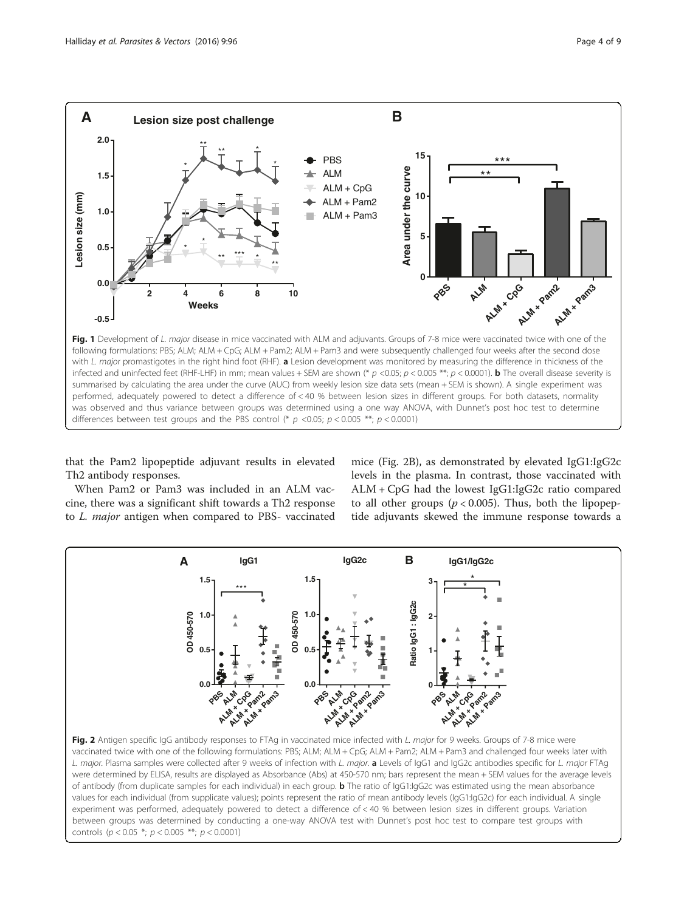<span id="page-3-0"></span>

that the Pam2 lipopeptide adjuvant results in elevated Th2 antibody responses.

mice (Fig. 2B), as demonstrated by elevated IgG1:IgG2c levels in the plasma. In contrast, those vaccinated with ALM + CpG had the lowest IgG1:IgG2c ratio compared to all other groups ( $p < 0.005$ ). Thus, both the lipopep-

When Pam2 or Pam3 was included in an ALM vaccine, there was a significant shift towards a Th2 response to L. major antigen when compared to PBS- vaccinated



vaccinated twice with one of the following formulations: PBS; ALM; ALM + CpG; ALM + Pam2; ALM + Pam3 and challenged four weeks later with L. major. Plasma samples were collected after 9 weeks of infection with L. major. <sup>a</sup> Levels of IgG1 and IgG2c antibodies specific for L. major FTAg were determined by ELISA, results are displayed as Absorbance (Abs) at 450-570 nm; bars represent the mean + SEM values for the average levels of antibody (from duplicate samples for each individual) in each group. **b** The ratio of IgG1:IgG2c was estimated using the mean absorbance values for each individual (from supplicate values); points represent the ratio of mean antibody levels (IgG1:IgG2c) for each individual. A single experiment was performed, adequately powered to detect a difference of < 40 % between lesion sizes in different groups. Variation between groups was determined by conducting a one-way ANOVA test with Dunnet's post hoc test to compare test groups with controls ( $p < 0.05$  \*;  $p < 0.005$  \*\*;  $p < 0.0001$ )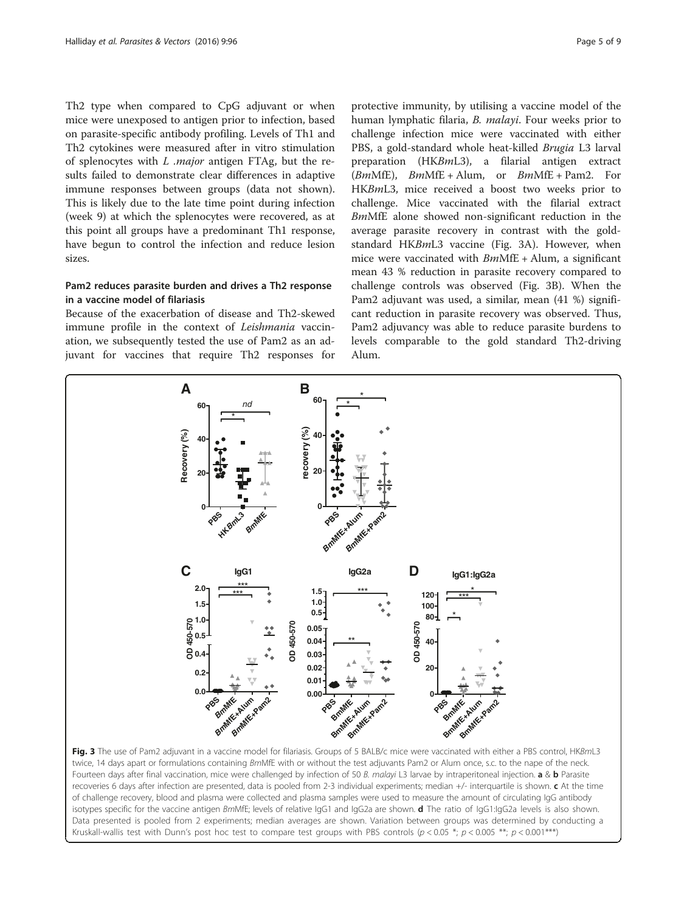<span id="page-4-0"></span>Th2 type when compared to CpG adjuvant or when mice were unexposed to antigen prior to infection, based on parasite-specific antibody profiling. Levels of Th1 and Th2 cytokines were measured after in vitro stimulation of splenocytes with  $L$  .major antigen FTAg, but the results failed to demonstrate clear differences in adaptive immune responses between groups (data not shown). This is likely due to the late time point during infection (week 9) at which the splenocytes were recovered, as at this point all groups have a predominant Th1 response, have begun to control the infection and reduce lesion sizes.

## Pam2 reduces parasite burden and drives a Th2 response in a vaccine model of filariasis

Because of the exacerbation of disease and Th2-skewed immune profile in the context of Leishmania vaccination, we subsequently tested the use of Pam2 as an adjuvant for vaccines that require Th2 responses for

protective immunity, by utilising a vaccine model of the human lymphatic filaria, B. malayi. Four weeks prior to challenge infection mice were vaccinated with either PBS, a gold-standard whole heat-killed Brugia L3 larval preparation (HKBmL3), a filarial antigen extract  $(BmMfE)$ ,  $BmMfE + Alum$ , or  $BmMfE + Pam2$ . For HKBmL3, mice received a boost two weeks prior to challenge. Mice vaccinated with the filarial extract BmMfE alone showed non-significant reduction in the average parasite recovery in contrast with the goldstandard HKBmL3 vaccine (Fig. 3A). However, when mice were vaccinated with  $BmMfE + Alum$ , a significant mean 43 % reduction in parasite recovery compared to challenge controls was observed (Fig. 3B). When the Pam2 adjuvant was used, a similar, mean (41 %) significant reduction in parasite recovery was observed. Thus, Pam2 adjuvancy was able to reduce parasite burdens to levels comparable to the gold standard Th2-driving Alum.



Kruskall-wallis test with Dunn's post hoc test to compare test groups with PBS controls ( $p < 0.05$ \*;  $p < 0.005$ \*\*;  $p < 0.001$ \*\*\*)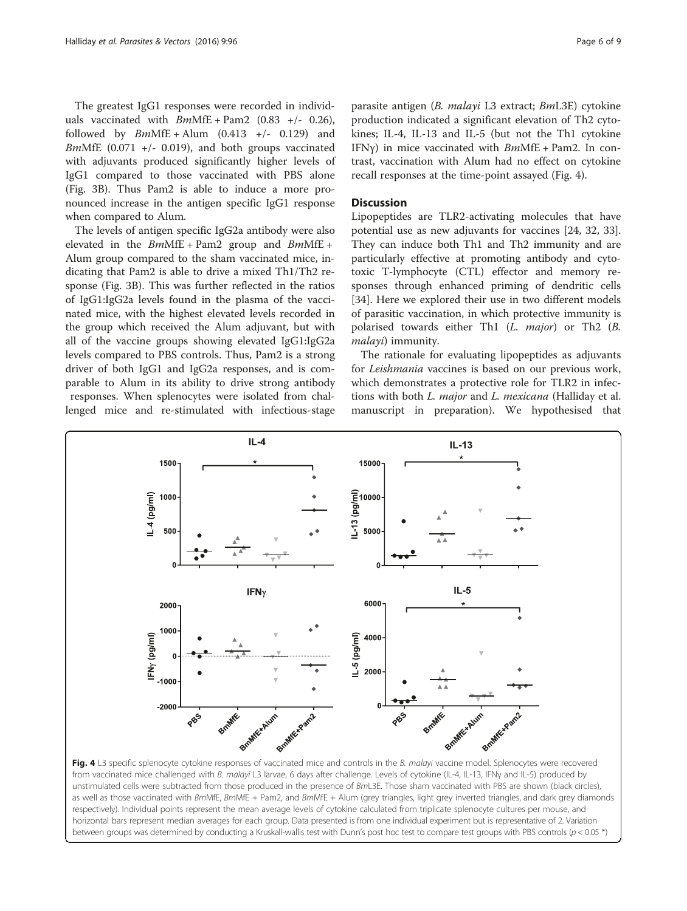The greatest IgG1 responses were recorded in individuals vaccinated with  $BmMfE + Pam2$  (0.83 +/- 0.26), followed by  $BmMfE + Alum$  (0.413 +/- 0.129) and BmMfE (0.071 +/- 0.019), and both groups vaccinated with adjuvants produced significantly higher levels of IgG1 compared to those vaccinated with PBS alone (Fig. [3B\)](#page-4-0). Thus Pam2 is able to induce a more pronounced increase in the antigen specific IgG1 response when compared to Alum.

The levels of antigen specific IgG2a antibody were also elevated in the  $BmMfE + Pam2$  group and  $BmMfE +$ Alum group compared to the sham vaccinated mice, indicating that Pam2 is able to drive a mixed Th1/Th2 response (Fig. [3B\)](#page-4-0). This was further reflected in the ratios of IgG1:IgG2a levels found in the plasma of the vaccinated mice, with the highest elevated levels recorded in the group which received the Alum adjuvant, but with all of the vaccine groups showing elevated IgG1:IgG2a levels compared to PBS controls. Thus, Pam2 is a strong driver of both IgG1 and IgG2a responses, and is comparable to Alum in its ability to drive strong antibody responses. When splenocytes were isolated from challenged mice and re-stimulated with infectious-stage parasite antigen (B. malayi L3 extract; BmL3E) cytokine production indicated a significant elevation of Th2 cytokines; IL-4, IL-13 and IL-5 (but not the Th1 cytokine IFN $y$ ) in mice vaccinated with  $BmMfE + Pam2$ . In contrast, vaccination with Alum had no effect on cytokine recall responses at the time-point assayed (Fig. 4).

## **Discussion**

Lipopeptides are TLR2-activating molecules that have potential use as new adjuvants for vaccines [\[24](#page-7-0), [32, 33](#page-8-0)]. They can induce both Th1 and Th2 immunity and are particularly effective at promoting antibody and cytotoxic T-lymphocyte (CTL) effector and memory responses through enhanced priming of dendritic cells [[34\]](#page-8-0). Here we explored their use in two different models of parasitic vaccination, in which protective immunity is polarised towards either Th1 (L. major) or Th2 (B. malayi) immunity.

The rationale for evaluating lipopeptides as adjuvants for Leishmania vaccines is based on our previous work, which demonstrates a protective role for TLR2 in infections with both *L. major* and *L. mexicana* (Halliday et al. manuscript in preparation). We hypothesised that



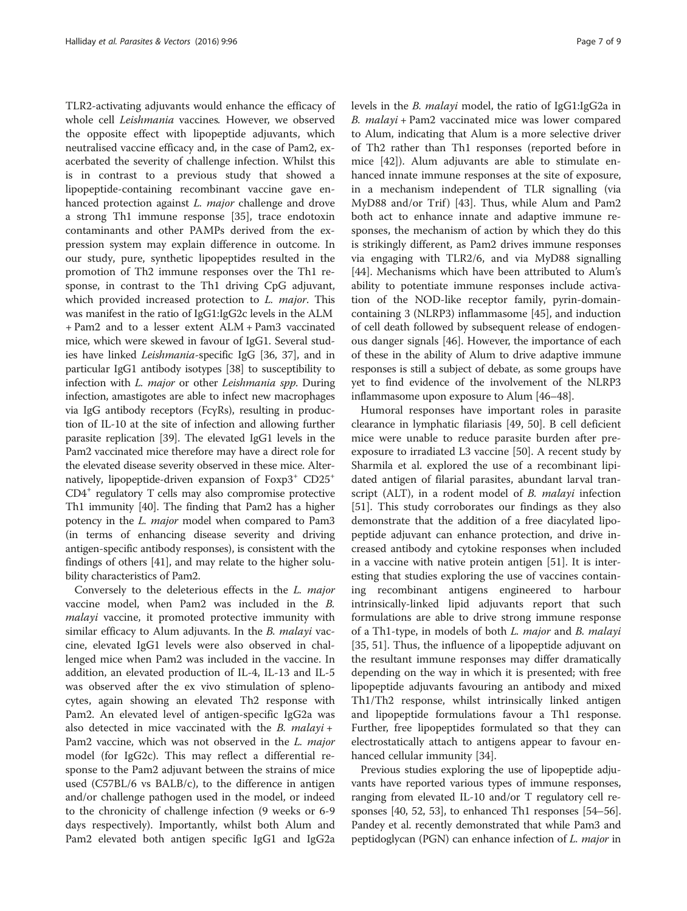TLR2-activating adjuvants would enhance the efficacy of whole cell Leishmania vaccines. However, we observed the opposite effect with lipopeptide adjuvants, which neutralised vaccine efficacy and, in the case of Pam2, exacerbated the severity of challenge infection. Whilst this is in contrast to a previous study that showed a lipopeptide-containing recombinant vaccine gave enhanced protection against L. major challenge and drove a strong Th1 immune response [\[35](#page-8-0)], trace endotoxin contaminants and other PAMPs derived from the expression system may explain difference in outcome. In our study, pure, synthetic lipopeptides resulted in the promotion of Th2 immune responses over the Th1 response, in contrast to the Th1 driving CpG adjuvant, which provided increased protection to *L. major*. This was manifest in the ratio of IgG1:IgG2c levels in the ALM + Pam2 and to a lesser extent ALM + Pam3 vaccinated mice, which were skewed in favour of IgG1. Several studies have linked Leishmania-specific IgG [[36](#page-8-0), [37](#page-8-0)], and in particular IgG1 antibody isotypes [[38\]](#page-8-0) to susceptibility to infection with L. major or other Leishmania spp. During infection, amastigotes are able to infect new macrophages via IgG antibody receptors (FcγRs), resulting in production of IL-10 at the site of infection and allowing further parasite replication [\[39\]](#page-8-0). The elevated IgG1 levels in the Pam2 vaccinated mice therefore may have a direct role for the elevated disease severity observed in these mice. Alternatively, lipopeptide-driven expansion of  $Foxp3^+$  CD25<sup>+</sup> CD4+ regulatory T cells may also compromise protective Th1 immunity [\[40\]](#page-8-0). The finding that Pam2 has a higher potency in the L. major model when compared to Pam3 (in terms of enhancing disease severity and driving antigen-specific antibody responses), is consistent with the findings of others [[41](#page-8-0)], and may relate to the higher solubility characteristics of Pam2.

Conversely to the deleterious effects in the L. major vaccine model, when Pam2 was included in the B. malayi vaccine, it promoted protective immunity with similar efficacy to Alum adjuvants. In the B. malayi vaccine, elevated IgG1 levels were also observed in challenged mice when Pam2 was included in the vaccine. In addition, an elevated production of IL-4, IL-13 and IL-5 was observed after the ex vivo stimulation of splenocytes, again showing an elevated Th2 response with Pam2. An elevated level of antigen-specific IgG2a was also detected in mice vaccinated with the  $B$ . malayi + Pam2 vaccine, which was not observed in the L. major model (for IgG2c). This may reflect a differential response to the Pam2 adjuvant between the strains of mice used (C57BL/6 vs BALB/c), to the difference in antigen and/or challenge pathogen used in the model, or indeed to the chronicity of challenge infection (9 weeks or 6-9 days respectively). Importantly, whilst both Alum and Pam2 elevated both antigen specific IgG1 and IgG2a levels in the B. malayi model, the ratio of IgG1:IgG2a in B. malayi + Pam2 vaccinated mice was lower compared to Alum, indicating that Alum is a more selective driver of Th2 rather than Th1 responses (reported before in mice [[42\]](#page-8-0)). Alum adjuvants are able to stimulate enhanced innate immune responses at the site of exposure, in a mechanism independent of TLR signalling (via MyD88 and/or Trif) [[43](#page-8-0)]. Thus, while Alum and Pam2 both act to enhance innate and adaptive immune responses, the mechanism of action by which they do this is strikingly different, as Pam2 drives immune responses via engaging with TLR2/6, and via MyD88 signalling [[44\]](#page-8-0). Mechanisms which have been attributed to Alum's ability to potentiate immune responses include activation of the NOD-like receptor family, pyrin-domaincontaining 3 (NLRP3) inflammasome [\[45](#page-8-0)], and induction of cell death followed by subsequent release of endogenous danger signals [[46\]](#page-8-0). However, the importance of each of these in the ability of Alum to drive adaptive immune responses is still a subject of debate, as some groups have yet to find evidence of the involvement of the NLRP3 inflammasome upon exposure to Alum [[46](#page-8-0)–[48\]](#page-8-0).

Humoral responses have important roles in parasite clearance in lymphatic filariasis [[49, 50](#page-8-0)]. B cell deficient mice were unable to reduce parasite burden after preexposure to irradiated L3 vaccine [[50](#page-8-0)]. A recent study by Sharmila et al. explored the use of a recombinant lipidated antigen of filarial parasites, abundant larval transcript (ALT), in a rodent model of *B. malayi* infection [[51\]](#page-8-0). This study corroborates our findings as they also demonstrate that the addition of a free diacylated lipopeptide adjuvant can enhance protection, and drive increased antibody and cytokine responses when included in a vaccine with native protein antigen [\[51](#page-8-0)]. It is interesting that studies exploring the use of vaccines containing recombinant antigens engineered to harbour intrinsically-linked lipid adjuvants report that such formulations are able to drive strong immune response of a Th1-type, in models of both L. major and B. malayi [[35, 51\]](#page-8-0). Thus, the influence of a lipopeptide adjuvant on the resultant immune responses may differ dramatically depending on the way in which it is presented; with free lipopeptide adjuvants favouring an antibody and mixed Th1/Th2 response, whilst intrinsically linked antigen and lipopeptide formulations favour a Th1 response. Further, free lipopeptides formulated so that they can electrostatically attach to antigens appear to favour enhanced cellular immunity [[34](#page-8-0)].

Previous studies exploring the use of lipopeptide adjuvants have reported various types of immune responses, ranging from elevated IL-10 and/or T regulatory cell responses [\[40, 52, 53\]](#page-8-0), to enhanced Th1 responses [\[54](#page-8-0)–[56](#page-8-0)]. Pandey et al. recently demonstrated that while Pam3 and peptidoglycan (PGN) can enhance infection of L. major in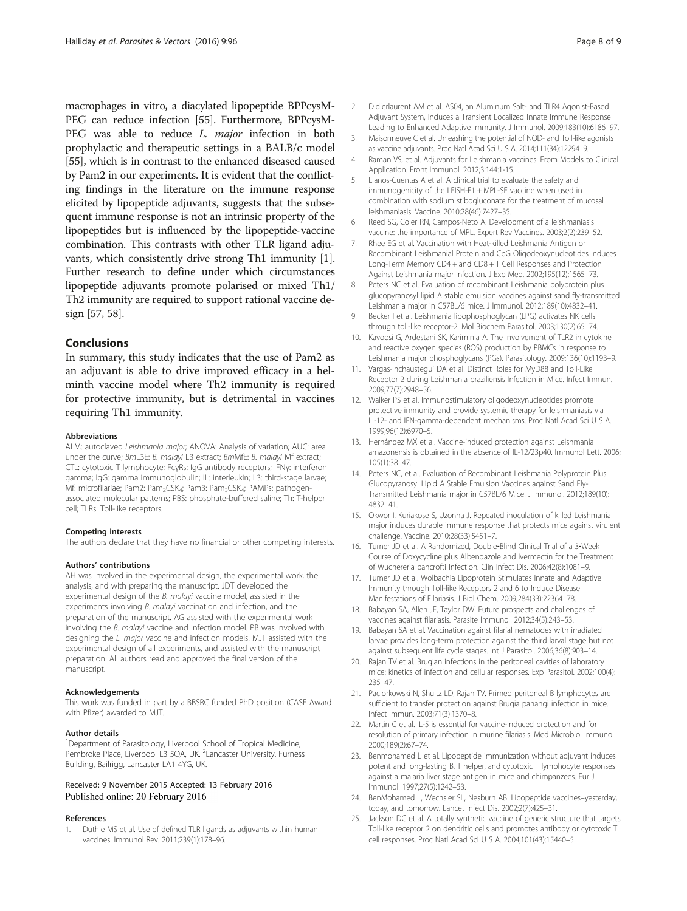<span id="page-7-0"></span>macrophages in vitro, a diacylated lipopeptide BPPcysM-PEG can reduce infection [\[55\]](#page-8-0). Furthermore, BPPcysM-PEG was able to reduce L. major infection in both prophylactic and therapeutic settings in a BALB/c model [[55](#page-8-0)], which is in contrast to the enhanced diseased caused by Pam2 in our experiments. It is evident that the conflicting findings in the literature on the immune response elicited by lipopeptide adjuvants, suggests that the subsequent immune response is not an intrinsic property of the lipopeptides but is influenced by the lipopeptide-vaccine combination. This contrasts with other TLR ligand adjuvants, which consistently drive strong Th1 immunity [1]. Further research to define under which circumstances lipopeptide adjuvants promote polarised or mixed Th1/ Th2 immunity are required to support rational vaccine design [[57](#page-8-0), [58\]](#page-8-0).

## **Conclusions**

In summary, this study indicates that the use of Pam2 as an adjuvant is able to drive improved efficacy in a helminth vaccine model where Th2 immunity is required for protective immunity, but is detrimental in vaccines requiring Th1 immunity.

#### Abbreviations

ALM: autoclaved Leishmania major; ANOVA: Analysis of variation; AUC: area under the curve; BmL3E: B. malayi L3 extract; BmMfE: B. malayi Mf extract; CTL: cytotoxic T lymphocyte; FcγRs: IgG antibody receptors; IFNγ: interferon gamma; IgG: gamma immunoglobulin; IL: interleukin; L3: third-stage larvae; Mf: microfilariae; Pam2: Pam<sub>2</sub>CSK<sub>4</sub>; Pam3: Pam<sub>3</sub>CSK<sub>4</sub>; PAMPs: pathogenassociated molecular patterns; PBS: phosphate-buffered saline; Th: T-helper cell; TLRs: Toll-like receptors.

#### Competing interests

The authors declare that they have no financial or other competing interests.

#### Authors' contributions

AH was involved in the experimental design, the experimental work, the analysis, and with preparing the manuscript. JDT developed the experimental design of the B. malayi vaccine model, assisted in the experiments involving B. malayi vaccination and infection, and the preparation of the manuscript. AG assisted with the experimental work involving the B. malayi vaccine and infection model. PB was involved with designing the L. major vaccine and infection models. MJT assisted with the experimental design of all experiments, and assisted with the manuscript preparation. All authors read and approved the final version of the manuscript.

### Acknowledgements

This work was funded in part by a BBSRC funded PhD position (CASE Award with Pfizer) awarded to MJT.

#### Author details

<sup>1</sup>Department of Parasitology, Liverpool School of Tropical Medicine, Pembroke Place, Liverpool L3 5QA, UK. <sup>2</sup> Lancaster University, Furness Building, Bailrigg, Lancaster LA1 4YG, UK.

#### Received: 9 November 2015 Accepted: 13 February 2016 Published online: 20 February 2016

#### References

1. Duthie MS et al. Use of defined TLR ligands as adjuvants within human vaccines. Immunol Rev. 2011;239(1):178–96.

- 2. Didierlaurent AM et al. AS04, an Aluminum Salt- and TLR4 Agonist-Based Adjuvant System, Induces a Transient Localized Innate Immune Response Leading to Enhanced Adaptive Immunity. J Immunol. 2009;183(10):6186–97.
- 3. Maisonneuve C et al. Unleashing the potential of NOD- and Toll-like agonists as vaccine adjuvants. Proc Natl Acad Sci U S A. 2014;111(34):12294–9.
- 4. Raman VS, et al. Adjuvants for Leishmania vaccines: From Models to Clinical Application. Front Immunol. 2012;3:144:1-15.
- 5. Llanos-Cuentas A et al. A clinical trial to evaluate the safety and immunogenicity of the LEISH-F1 + MPL-SE vaccine when used in combination with sodium stibogluconate for the treatment of mucosal leishmaniasis. Vaccine. 2010;28(46):7427–35.
- 6. Reed SG, Coler RN, Campos-Neto A. Development of a leishmaniasis vaccine: the importance of MPL. Expert Rev Vaccines. 2003;2(2):239–52.
- 7. Rhee EG et al. Vaccination with Heat-killed Leishmania Antigen or Recombinant Leishmanial Protein and CpG Oligodeoxynucleotides Induces Long-Term Memory CD4 + and CD8 + T Cell Responses and Protection Against Leishmania major Infection. J Exp Med. 2002;195(12):1565–73.
- 8. Peters NC et al. Evaluation of recombinant Leishmania polyprotein plus glucopyranosyl lipid A stable emulsion vaccines against sand fly-transmitted Leishmania major in C57BL/6 mice. J Immunol. 2012;189(10):4832–41.
- 9. Becker I et al. Leishmania lipophosphoglycan (LPG) activates NK cells through toll-like receptor-2. Mol Biochem Parasitol. 2003;130(2):65–74.
- 10. Kavoosi G, Ardestani SK, Kariminia A. The involvement of TLR2 in cytokine and reactive oxygen species (ROS) production by PBMCs in response to Leishmania major phosphoglycans (PGs). Parasitology. 2009;136(10):1193–9.
- 11. Vargas-Inchaustegui DA et al. Distinct Roles for MyD88 and Toll-Like Receptor 2 during Leishmania braziliensis Infection in Mice. Infect Immun. 2009;77(7):2948–56.
- 12. Walker PS et al. Immunostimulatory oligodeoxynucleotides promote protective immunity and provide systemic therapy for leishmaniasis via IL-12- and IFN-gamma-dependent mechanisms. Proc Natl Acad Sci U S A. 1999;96(12):6970–5.
- 13. Hernández MX et al. Vaccine-induced protection against Leishmania amazonensis is obtained in the absence of IL-12/23p40. Immunol Lett. 2006; 105(1):38–47.
- 14. Peters NC, et al. Evaluation of Recombinant Leishmania Polyprotein Plus Glucopyranosyl Lipid A Stable Emulsion Vaccines against Sand Fly-Transmitted Leishmania major in C57BL/6 Mice. J Immunol. 2012;189(10): 4832–41.
- 15. Okwor I, Kuriakose S, Uzonna J. Repeated inoculation of killed Leishmania major induces durable immune response that protects mice against virulent challenge. Vaccine. 2010;28(33):5451–7.
- 16. Turner JD et al. A Randomized, Double‐Blind Clinical Trial of a 3‐Week Course of Doxycycline plus Albendazole and Ivermectin for the Treatment of Wuchereria bancrofti Infection. Clin Infect Dis. 2006;42(8):1081–9.
- 17. Turner JD et al. Wolbachia Lipoprotein Stimulates Innate and Adaptive Immunity through Toll-like Receptors 2 and 6 to Induce Disease Manifestations of Filariasis. J Biol Chem. 2009;284(33):22364–78.
- 18. Babayan SA, Allen JE, Taylor DW. Future prospects and challenges of vaccines against filariasis. Parasite Immunol. 2012;34(5):243–53.
- 19. Babayan SA et al. Vaccination against filarial nematodes with irradiated larvae provides long-term protection against the third larval stage but not against subsequent life cycle stages. Int J Parasitol. 2006;36(8):903–14.
- 20. Rajan TV et al. Brugian infections in the peritoneal cavities of laboratory mice: kinetics of infection and cellular responses. Exp Parasitol. 2002;100(4): 235–47.
- 21. Paciorkowski N, Shultz LD, Rajan TV. Primed peritoneal B lymphocytes are sufficient to transfer protection against Brugia pahangi infection in mice. Infect Immun. 2003;71(3):1370–8.
- 22. Martin C et al. IL-5 is essential for vaccine-induced protection and for resolution of primary infection in murine filariasis. Med Microbiol Immunol. 2000;189(2):67–74.
- 23. Benmohamed L et al. Lipopeptide immunization without adjuvant induces potent and long-lasting B, T helper, and cytotoxic T lymphocyte responses against a malaria liver stage antigen in mice and chimpanzees. Eur J Immunol. 1997;27(5):1242–53.
- 24. BenMohamed L, Wechsler SL, Nesburn AB. Lipopeptide vaccines–yesterday, today, and tomorrow. Lancet Infect Dis. 2002;2(7):425–31.
- 25. Jackson DC et al. A totally synthetic vaccine of generic structure that targets Toll-like receptor 2 on dendritic cells and promotes antibody or cytotoxic T cell responses. Proc Natl Acad Sci U S A. 2004;101(43):15440–5.